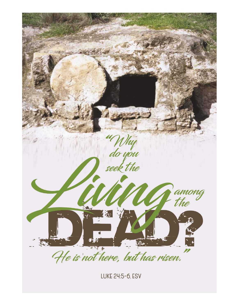

LUKE 24:5-6, ESV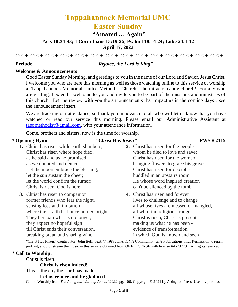# **Tappahannock Memorial UMC Easter Sunday**

**"Amazed … Again"**

**Acts 10:34-43; 1 Corinthians 15:19-26; Psalm 118:14-24; Luke 24:1-12 April 17, 2022**

<>< <<< + <>< + <>< + <>< + <>< + <>< + <<< + <<< + <<< + <<< + <<< + <<< + <<< + <<< + <<< + <<< + <<< + <<< + <<< + <<< + <<< + <<< + <<< + <<< + <<< + <<< + <<< + <<< + <<< + <<< + <<< + <<< + <<< + <<< + <<< + <<< + <<<

### **Prelude** *"Rejoice, the Lord is King"*

## **Welcome & Announcements**

Good Easter Sunday Morning, and greetings to you in the name of our Lord and Savior, Jesus Christ. I welcome you who are here this morning as well as those watching online to this service of worship at Tappahannock Memorial United Methodist Church - the miracle, candy church! For any who are visiting, I extend a welcome to you and invite you to be part of the missions and ministries of this church. Let me review with you the announcements that impact us in the coming days…see the announcement insert.

We are tracking our attendance, so thank you in advance to all who will let us know that you have watched or read our service this morning. Please email our Administrative Assistant at [tappmethodist@gmail.com,](about:blank) with your attendance information.

Come, brothers and sisters, now is the time for worship.

## **\* Opening Hymn** *"Christ Has Risen"* **FWS # 2115**

- **1.** Christ has risen while earth slumbers, Christ has risen where hope died, as he said and as he promised, as we doubted and denied. Let the moon embrace the blessing; let the sun sustain the cheer; let the world confirm the rumor; Christ is risen, God is here!
- **3.** Christ has risen to companion former friends who fear the night, sensing loss and limitation where their faith had once burned bright. They bemoan what is no longer, they expect no hopeful sign till Christ ends their conversation, breaking bread and sharing wine
- **2.** Christ has risen for the people whom he died to love and save; Christ has risen for the women bringing flowers to grace his grave. Christ has risen for disciples huddled in an upstairs room. He whose word inspired creation can't be silenced by the tomb.
- **4.** Christ has risen and forever lives to challenge and to change all whose lives are messed or mangled, all who find religion strange. Christ is risen, Christ is present making us what he has been evidence of transformation in which God is known and seen

"Christ Has Risen." Contributor: John Bell. Text: © 1988, GIA/IONA Community, GIA Publications, Inc.. Permission to reprint, podcast, and / or stream the music in this service obtained from ONE LICENSE with license #A-737731. All rights reserved.

### **\* Call to Worship:**

Christ is risen!

**Christ is risen indeed!**

This is the day the Lord has made.

**Let us rejoice and be glad in it!**

Call to Worship from *The Abingdon Worship Annual 2022,* pg. 106. Copyright © 2021 by Abingdon Press. Used by permission.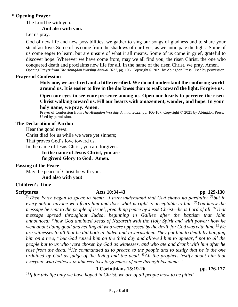## **\* Opening Prayer**

The Lord be with you.

## **And also with you.**

Let us pray.

God of new life and new possibilities, we gather to sing our songs of gladness and to share your steadfast love. Some of us come from the shadows of our lives, as we anticipate the light. Some of us come eager to learn, but are unsure of what it all means. Some of us come in grief, grateful to discover hope. Wherever we have come from, may we all find you, the risen Christ, the one who conquered death and proclaims new life for all. In the name of the risen Christ, we pray. Amen. Opening Prayer from *The Abingdon Worship Annual 2022,* pg. 106. Copyright © 2021 by Abingdon Press. Used by permission.

## **Prayer of Confession**

**Holy one, we are tired and a little terrified. We do not understand the confusing world around us. It is easier to live in the darkness than to walk toward the light. Forgive us.**

**Open our eyes to see your presence among us. Open our hearts to perceive the risen Christ walking toward us. Fill our hearts with amazement, wonder, and hope. In your holy name, we pray. Amen.**

Prayer of Confession from *The Abingdon Worship Annual 2022,* pp. 106-107. Copyright © 2021 by Abingdon Press. Used by permission.

### **The Declaration of Pardon**

Hear the good news:

Christ died for us while we were yet sinners;

That proves God's love toward us.

In the name of Jesus Christ, you are forgiven.

**In the name of Jesus Christ, you are** 

**forgiven! Glory to God. Amen.**

### **Passing of the Peace**

May the peace of Christ be with you.

**And also with you!**

## **Children's Time**

## **Scriptures Acts 10:34-43 pp. 129-130**

*<sup>34</sup>Then Peter began to speak to them: "I truly understand that God shows no partiality, <sup>35</sup>but in every nation anyone who fears him and does what is right is acceptable to him. <sup>36</sup>You know the message he sent to the people of Israel, preaching peace by Jesus Christ—he is Lord of all. <sup>37</sup>That message spread throughout Judea, beginning in Galilee after the baptism that John announced: <sup>38</sup>how God anointed Jesus of Nazareth with the Holy Spirit and with power; how he went about doing good and healing all who were oppressed by the devil, for God was with him. <sup>39</sup>We are witnesses to all that he did both in Judea and in Jerusalem. They put him to death by hanging him on a tree; <sup>40</sup>but God raised him on the third day and allowed him to appear, <sup>41</sup>not to all the people but to us who were chosen by God as witnesses, and who ate and drank with him after he rose from the dead. <sup>42</sup>He commanded us to preach to the people and to testify that he is the one ordained by God as judge of the living and the dead. <sup>43</sup>All the prophets testify about him that everyone who believes in him receives forgiveness of sins through his name."*

## **1 Corinthians 15:19-26 pp. 176-177**

*19If for this life only we have hoped in Christ, we are of all people most to be pitied.*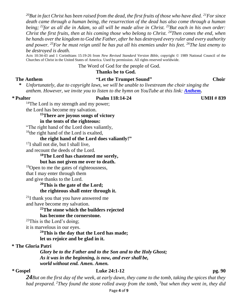*<sup>20</sup>But in fact Christ has been raised from the dead, the first fruits of those who have died. <sup>21</sup>For since death came through a human being, the resurrection of the dead has also come through a human being; <sup>22</sup>for as all die in Adam, so all will be made alive in Christ. <sup>23</sup>But each in his own order: Christ the first fruits, then at his coming those who belong to Christ. <sup>24</sup>Then comes the end, when he hands over the kingdom to God the Father, after he has destroyed every ruler and every authority and power. <sup>25</sup>For he must reign until he has put all his enemies under his feet. <sup>26</sup>The last enemy to be destroyed is death.*

Acts 10:34-43 and 1 Corinthians 15:19-26 from *New Revised Standard Version Bible*, copyright © 1989 National Council of the Churches of Christ in the United States of America. Used by permission. All rights reserved worldwide.

The Word of God for the people of God.

#### **Thanks be to God.**

## **The Anthem "Let the Trumpet Sound" Choir**

**\*** *Unfortunately, due to copyright laws, we will be unable to livestream the choir singing the anthem. However, we invite you to listen to the hymn on YouTube at this link: [Anthem.](https://youtu.be/BfLYiljoiEM)*

### **\* Psalter Psalm 118:14-24 UMH # 839**

<sup>14</sup>The Lord is my strength and my power; the Lord has become my salvation.

## **<sup>15</sup>There are joyous songs of victory**

#### **in the tents of the righteous:**

"The right hand of the Lord does valiantly,

<sup>16</sup>the right hand of the Lord is exalted,

### **the right hand of the Lord does valiantly!"**

 $17I$  shall not die, but I shall live,

and recount the deeds of the Lord.

## **<sup>18</sup>The Lord has chastened me sorely,**

### **but has not given me over to death.**

 $19$ Open to me the gates of righteousness, that I may enter through them and give thanks to the Lord.

### **<sup>20</sup>This is the gate of the Lord; the righteous shall enter through it.**

<sup>21</sup>I thank you that you have answered me and have become my salvation.

## **<sup>22</sup>The stone which the builders rejected**

### **has become the cornerstone.**

 $23$ This is the Lord's doing;

it is marvelous in our eyes.

### **<sup>24</sup>This is the day that the Lord has made; let us rejoice and be glad in it.**

### **\* The Gloria Patri**

*Glory be to the Father and to the Son and to the Holy Ghost; As it was in the beginning, is now, and ever shall be, world without end. Amen. Amen.*

#### **\* Gospel Luke 24:1-12 pg. 90**

*24But on the first day of the week, at early dawn, they came to the tomb, taking the spices that they had prepared. <sup>2</sup>They found the stone rolled away from the tomb, <sup>3</sup>but when they went in, they did*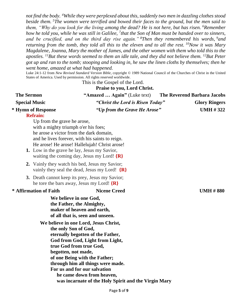*not find the body. <sup>4</sup>While they were perplexed about this, suddenly two men in dazzling clothes stood beside them. <sup>5</sup>The women were terrified and bowed their faces to the ground, but the men said to them, "Why do you look for the living among the dead? He is not here, but has risen. <sup>6</sup>Remember how he told you, while he was still in Galilee, <sup>7</sup> that the Son of Man must be handed over to sinners, and be crucified, and on the third day rise again." <sup>8</sup>Then they remembered his words, <sup>9</sup>and returning from the tomb, they told all this to the eleven and to all the rest. <sup>10</sup>Now it was Mary Magdalene, Joanna, Mary the mother of James, and the other women with them who told this to the apostles. <sup>11</sup>But these words seemed to them an idle tale, and they did not believe them. <sup>12</sup>But Peter got up and ran to the tomb; stooping and looking in, he saw the linen cloths by themselves; then he went home, amazed at what had happened.*

Luke 24:1-12 from *New Revised Standard Version Bible*, copyright © 1989 National Council of the Churches of Christ in the United States of America. Used by permission. All rights reserved worldwide.

## This is the Gospel of the Lord. **Praise to you, Lord Christ. The Sermon** "Amazed ... Again" (Luke text) The Reverend Barbara Jacobs **Special Music** *"Christ the Lord is Risen Today"* Glory Ringers **\* Hymn of Response** *"Up from the Grave He Arose"* **UMH # 322 Refrain:** Up from the grave he arose,

with a mighty triumph o'er his foes; he arose a victor from the dark domain, and he lives forever, with his saints to reign. He arose! He arose! Hallelujah! Christ arose!

- **1.** Low in the grave he lay, Jesus my Savior, waiting the coming day, Jesus my Lord! **{R}**
- **2.** Vainly they watch his bed, Jesus my Savior; vainly they seal the dead, Jesus my Lord! **{R}**
- **3.** Death cannot keep its prey, Jesus my Savior; he tore the bars away, Jesus my Lord! **{R}**

### **\* Affirmation of Faith Nicene Creed UMH # 880**

**We believe in one God, the Father, the Almighty, maker of heaven and earth, of all that is, seen and unseen.**

**We believe in one Lord, Jesus Christ, the only Son of God, eternally begotten of the Father, God from God, Light from Light, true God from true God, begotten, not made, of one Being with the Father; through him all things were made. For us and for our salvation he came down from heaven, was incarnate of the Holy Spirit and the Virgin Mary**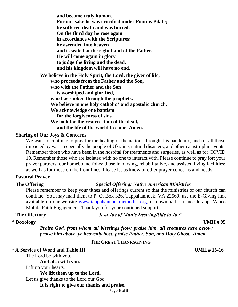**and became truly human. For our sake he was crucified under Pontius Pilate; he suffered death and was buried. On the third day he rose again in accordance with the Scriptures; he ascended into heaven and is seated at the right hand of the Father. He will come again in glory to judge the living and the dead, and his kingdom will have no end. We believe in the Holy Spirit, the Lord, the giver of life, who proceeds from the Father and the Son, who with the Father and the Son is worshiped and glorified, who has spoken through the prophets. We believe in one holy catholic\* and apostolic church. We acknowledge one baptism for the forgiveness of sins. We look for the resurrection of the dead, and the life of the world to come. Amen.**

#### **Sharing of Our Joys & Concerns**

We want to continue to pray for the healing of the nations through this pandemic, and for all those impacted by war – especially the people of Ukraine, natural disasters, and other catastrophic events. Remember those who have been in the hospital for treatments and surgeries, as well as for COVID 19. Remember those who are isolated with no one to interact with. Please continue to pray for: your prayer partners; our homebound folks; those in nursing, rehabilitative, and assisted living facilities; as well as for those on the front lines. Please let us know of other prayer concerns and needs.

### **Pastoral Prayer**

### **The Offering** *Special Offering: Native American Ministries*

Please remember to keep your tithes and offerings current so that the ministries of our church can continue. You may mail them to P. O. Box 326, Tappahannock, VA 22560, use the E-Giving link available on our website [www.tappahannockmethodist.org,](about:blank) or download our mobile app: Vanco Mobile Faith Engagement. Thank you for your continued support!

**The Offertory** *"Jesu Joy of Man's Desiring/Ode to Joy"* 

*Praise God, from whom all blessings flow; praise him, all creatures here below; praise him above, ye heavenly host; praise Father, Son, and Holy Ghost. Amen.*

### **THE GREAT THANKSGIVING**

\* **A Service of Word and Table III UMH # 15-16** The Lord be with you. **And also with you.** Lift up your hearts. **We lift them up to the Lord.** Let us give thanks to the Lord our God. **It is right to give our thanks and praise.**

Page **6** of **9**

## **\* Doxology UMH # 95**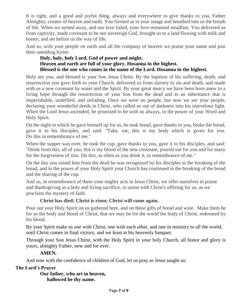It is right, and a good and joyful thing, always and everywhere to give thanks to you, Father Almighty, creator of heaven and earth. You formed us in your image and breathed into us the breath of life. When we turned away, and our love failed, your love remained steadfast. You delivered us from captivity, made covenant to be our sovereign God, brought us to a land flowing with milk and honey, and set before us the way of life.

And so, with your people on earth and all the company of heaven we praise your name and join their unending hymn:

## **Holy, holy, holy Lord, God of power and might. Heaven and earth are full of your glory. Hosanna in the highest. Blessed is the one who comes in the name of the Lord. Hosanna in the highest.**

Holy are you, and blessed is your Son Jesus Christ. By the baptism of his suffering, death, and resurrection you gave birth to your Church, delivered us from slavery to sin and death, and made with us a new covenant by water and the Spirit. By your great mercy we have been born anew to a living hope through the resurrection of your Son from the dead and to an inheritance that is imperishable, undefiled, and unfading. Once we were no people, but now we are your people, declaring your wonderful deeds in Christ, who called us out of darkness into his marvelous light. When the Lord Jesus ascended, he promised to be with us always, in the power of your Word and Holy Spirit.

On the night in which he gave himself up for us, he took bread, gave thanks to you, broke the bread, gave it to his disciples, and said: "Take, eat; this is my body which is given for you. Do this in remembrance of me."

When the supper was over, he took the cup, gave thanks to you, gave it to his disciples, and said: "Drink from this, all of you; this is my blood of the new covenant, poured out for you and for many for the forgiveness of sins. Do this, as often as you drink it, in remembrance of me."

On the day you raised him from the dead he was recognized by his disciples in the breaking of the bread, and in the power of your Holy Spirit your Church has continued in the breaking of the bread and the sharing of the cup.

And so, in remembrance of these your mighty acts in Jesus Christ, we offer ourselves in praise and thanksgiving as a holy and living sacrifice, in union with Christ's offering for us, as we proclaim the mystery of faith.

## **Christ has died; Christ is risen; Christ will come again.**

Pour out your Holy Spirit on us gathered here, and on these gifts of bread and wine. Make them be for us the body and blood of Christ, that we may be for the world the body of Christ, redeemed by his blood.

By your Spirit make us one with Christ, one with each other, and one in ministry to all the world, until Christ comes in final victory, and we feast at his heavenly banquet.

Through your Son Jesus Christ, with the Holy Spirit in your holy Church, all honor and glory is yours, almighty Father, now and for ever.

## **AMEN.**

And now with the confidence of children of God, let us pray as Jesus taught us:

## **The Lord's Prayer**

**Our father, who art in heaven, hallowed be thy name.**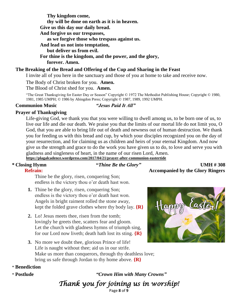**Thy kingdom come, thy will be done on earth as it is in heaven. Give us this day our daily bread. And forgive us our trespasses, as we forgive those who trespass against us. And lead us not into temptation, but deliver us from evil. For thine is the kingdom, and the power, and the glory, forever. Amen.**

## **The Breaking of the Bread and Offering of the Cup and Sharing in the Feast**

I invite all of you here in the sanctuary and those of you at home to take and receive now.

The Body of Christ broken for you. **Amen.**

The Blood of Christ shed for you. **Amen.**

"The Great Thanksgiving for Easter Day or Season" Copyright © 1972 The Methodist Publishing House; Copyright © 1980, 1981, 1985 UMPH; © 1986 by Abingdon Press; Copyright © 1987, 1989, 1992 UMPH.

### **Communion Music** *"Jesus Paid It All"*

## **Prayer of Thanksgiving**

Life-giving God, we thank you that you were willing to dwell among us, to be born one of us, to live our life and die our death. We praise you that the limits of our mortal life do not limit you, O God, that you are able to bring life out of death and newness out of human destruction. We thank you for feeding us with this bread and cup, by which your disciples recognized you on the day of your resurrection, and for claiming us as children and heirs of your eternal Kingdom. And now give us the strength and grace to do the work you have given us to do, to love and serve you with gladness and singleness of heart, in the name of our risen Lord, Amen. **<https://plagalcadence.wordpress.com/2017/04/21/prayer-after-communion-eastertide>**

## **\* Closing Hymn "***Thine Be the Glory"* **UMH # 308**

# **Refrain:** Accompanied by the Glory Ringers

Thine be the glory, risen, conquering Son; endless is the victory thou o'er death hast won.

- **1.** Thine be the glory, risen, conquering Son; endless is the victory thou o'er death hast won. Angels in bright raiment rolled the stone away, kept the folded grave clothes where thy body lay. **{R}**
- **2.** Lo! Jesus meets thee, risen from the tomb; lovingly he greets thee, scatters fear and gloom. Let the church with gladness hymns of triumph sing, for our Lord now liveth; death hath lost its sting. **{R}**
- **3.** No more we doubt thee, glorious Prince of life! Life is naught without thee; aid us in our strife. Make us more than conquerors, through thy deathless love; bring us safe through Jordan to thy home above. **{R}**

## \* **Benediction**

\* **Postlude** *"Crown Him with Many Crowns"*

*Thank you for joining us in worship!* 

Page **8** of **9**